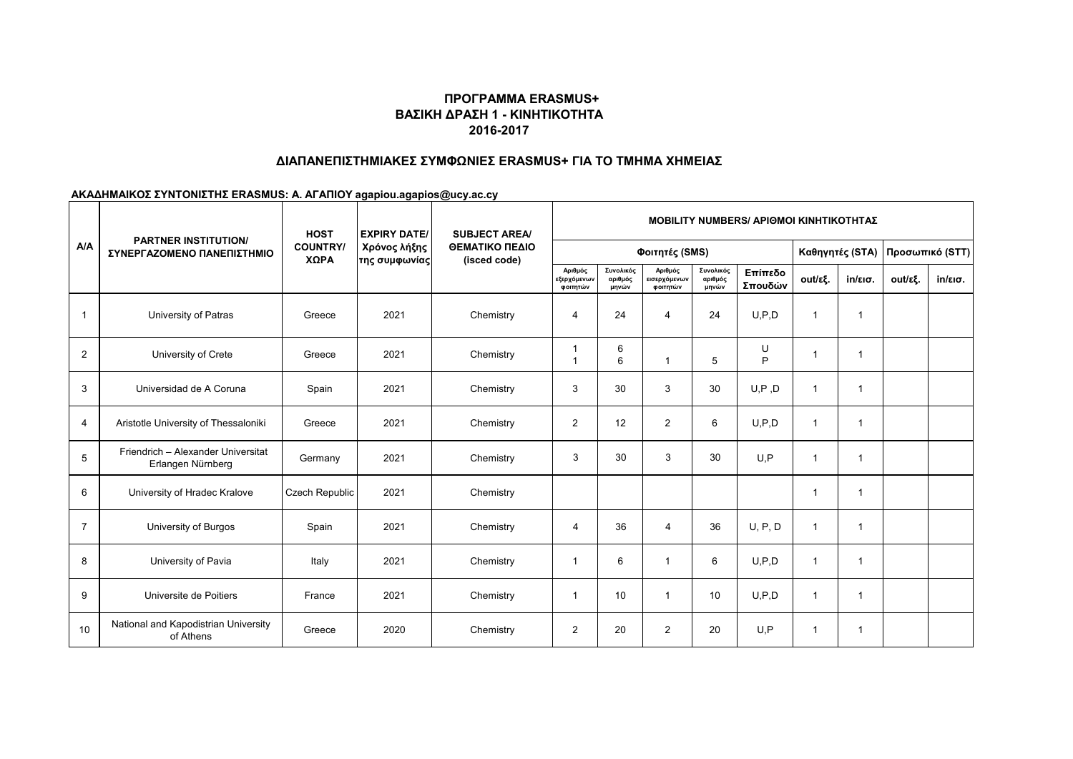#### **ΠΡΟΓΡΑΜΜΑ ERASMUS+ ΒΑΣΙΚΗ ΔΡΑΣΗ 1 - ΚΙΝΗΤΙΚΟΤΗΤΑ 2016-2017**

### **ΔΙΑΠΑΝΕΠΙΣΤΗΜΙΑΚΕΣ ΣΥΜΦΩΝΙΕΣ ERASMUS+ ΓΙΑ ΤΟ ΤΜΗΜΑ ΧΗΜΕΙΑΣ**

# **ΑΚΑΔΗΜΑΙΚΟΣ ΣΥΝΤΟΝΙΣΤΗΣ ERASMUS: Α. ΑΓΑΠΙΟΥ agapiou.agapios@ucy.ac.cy**

| A/A            | <b>PARTNER INSTITUTION/</b><br>ΣΥΝΕΡΓΑΖΟΜΕΝΟ ΠΑΝΕΠΙΣΤΗΜΙΟ | <b>HOST</b><br><b>COUNTRY/</b><br>ΧΩΡΑ | <b>EXPIRY DATE/</b><br>Χρόνος λήξης<br>της συμφωνίας | <b>SUBJECT AREA/</b><br>ΘΕΜΑΤΙΚΟ ΠΕΔΙΟ<br>(isced code) | <b>MOBILITY NUMBERS/ APIOMOI KINHTIKOTHTAZ</b> |                               |                                     |                               |                    |                 |                   |                 |                   |  |
|----------------|-----------------------------------------------------------|----------------------------------------|------------------------------------------------------|--------------------------------------------------------|------------------------------------------------|-------------------------------|-------------------------------------|-------------------------------|--------------------|-----------------|-------------------|-----------------|-------------------|--|
|                |                                                           |                                        |                                                      |                                                        | Φοιτητές (SMS)                                 |                               |                                     |                               |                    | Καθηγητές (STA) |                   | Προσωπικό (STT) |                   |  |
|                |                                                           |                                        |                                                      |                                                        | Αριθμός<br>εξερχόμενων<br>φοιτητών             | Συνολικός<br>αριθμός<br>μηνών | Αριθμός<br>εισερχόμενων<br>φοιτητών | Συνολικός<br>αριθμός<br>μηνών | Επίπεδο<br>Σπουδών | out/εξ.         | $in/\epsilon$ ισ. | out/εξ.         | $in/\epsilon$ ισ. |  |
| $\mathbf{1}$   | University of Patras                                      | Greece                                 | 2021                                                 | Chemistry                                              | 4                                              | 24                            | $\overline{4}$                      | 24                            | U.P.D              | $\mathbf 1$     | 1                 |                 |                   |  |
| $\overline{2}$ | University of Crete                                       | Greece                                 | 2021                                                 | Chemistry                                              | 1<br>1                                         | 6<br>6                        | $\overline{1}$                      | 5                             | U<br>P             | -1              | 1                 |                 |                   |  |
| 3              | Universidad de A Coruna                                   | Spain                                  | 2021                                                 | Chemistry                                              | 3                                              | 30                            | 3                                   | 30                            | U, P, D            | $\mathbf 1$     | 1                 |                 |                   |  |
| 4              | Aristotle University of Thessaloniki                      | Greece                                 | 2021                                                 | Chemistry                                              | 2                                              | 12                            | $\overline{2}$                      | 6                             | U, P, D            | -1              | 1                 |                 |                   |  |
| 5              | Friendrich - Alexander Universitat<br>Erlangen Nürnberg   | Germany                                | 2021                                                 | Chemistry                                              | 3                                              | 30                            | 3                                   | 30                            | U.P                | $\mathbf 1$     | 1                 |                 |                   |  |
| 6              | University of Hradec Kralove                              | Czech Republic                         | 2021                                                 | Chemistry                                              |                                                |                               |                                     |                               |                    | -1              | 1                 |                 |                   |  |
| $\overline{7}$ | University of Burgos                                      | Spain                                  | 2021                                                 | Chemistry                                              | $\overline{4}$                                 | 36                            | $\overline{4}$                      | 36                            | U, P, D            | $\mathbf 1$     | 1                 |                 |                   |  |
| 8              | University of Pavia                                       | Italy                                  | 2021                                                 | Chemistry                                              | 1                                              | 6                             |                                     | 6                             | U.P.D              | 1               | $\mathbf{1}$      |                 |                   |  |
| 9              | Universite de Poitiers                                    | France                                 | 2021                                                 | Chemistry                                              | -1                                             | 10                            |                                     | 10                            | U.P.D              | $\mathbf 1$     | 1                 |                 |                   |  |
| 10             | National and Kapodistrian University<br>of Athens         | Greece                                 | 2020                                                 | Chemistry                                              | $\overline{2}$                                 | 20                            | $\overline{2}$                      | 20                            | U.P                | $\mathbf 1$     | $\mathbf{1}$      |                 |                   |  |